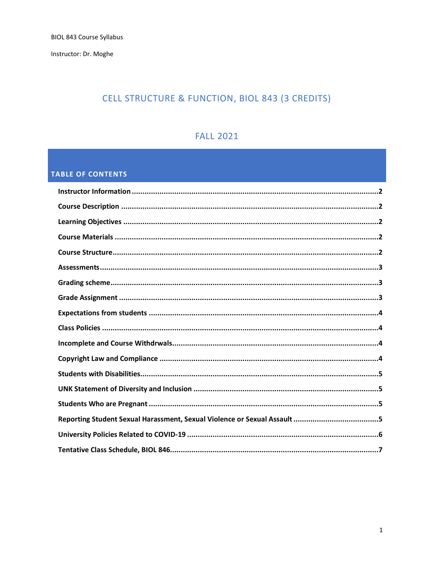Instructor: Dr. Moghe

# CELL STRUCTURE & FUNCTION, BIOL 843 (3 CREDITS)

# **FALL 2021**

# **TABLE OF CONTENTS**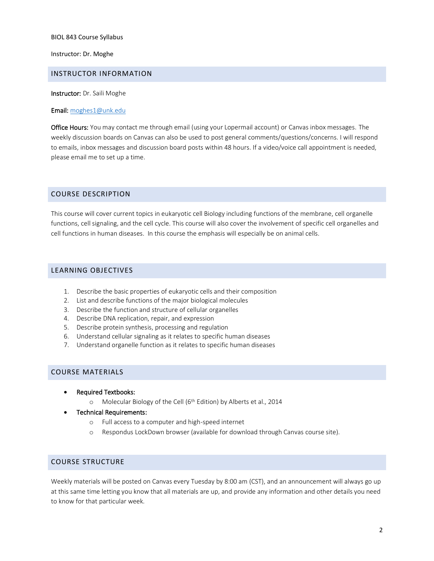Instructor: Dr. Moghe

#### <span id="page-1-0"></span>INSTRUCTOR INFORMATION

Instructor: Dr. Saili Moghe

#### Email: [moghes1@unk.edu](mailto:moghes1@unk.edu)

<span id="page-1-1"></span>Office Hours: You may contact me through email (using your Lopermail account) or Canvas inbox messages. The weekly discussion boards on Canvas can also be used to post general comments/questions/concerns. I will respond to emails, inbox messages and discussion board posts within 48 hours. If a video/voice call appointment is needed, please email me to set up a time.

## COURSE DESCRIPTION

This course will cover current topics in eukaryotic cell Biology including functions of the membrane, cell organelle functions, cell signaling, and the cell cycle. This course will also cover the involvement of specific cell organelles and cell functions in human diseases. In this course the emphasis will especially be on animal cells.

## <span id="page-1-2"></span>LEARNING OBJECTIVES

- 1. Describe the basic properties of eukaryotic cells and their composition
- 2. List and describe functions of the major biological molecules
- 3. Describe the function and structure of cellular organelles
- 4. Describe DNA replication, repair, and expression
- 5. Describe protein synthesis, processing and regulation
- 6. Understand cellular signaling as it relates to specific human diseases
- 7. Understand organelle function as it relates to specific human diseases

## <span id="page-1-3"></span>COURSE MATERIALS

- Required Textbooks:
	- o Molecular Biology of the Cell ( $6<sup>th</sup>$  Edition) by Alberts et al., 2014
- Technical Requirements:
	- o Full access to a computer and high-speed internet
	- o Respondus LockDown browser (available for download through Canvas course site).

## <span id="page-1-4"></span>COURSE STRUCTURE

Weekly materials will be posted on Canvas every Tuesday by 8:00 am (CST), and an announcement will always go up at this same time letting you know that all materials are up, and provide any information and other details you need to know for that particular week.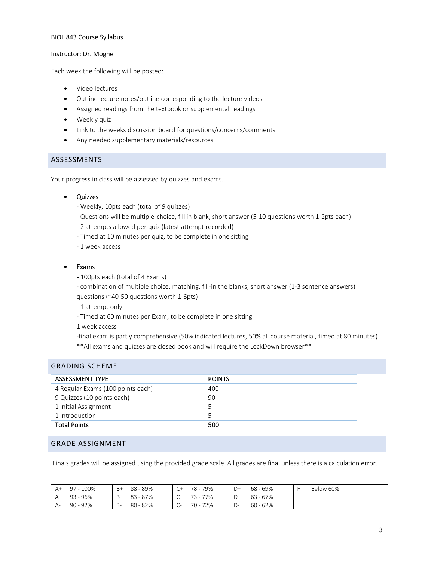#### Instructor: Dr. Moghe

Each week the following will be posted:

- Video lectures
- Outline lecture notes/outline corresponding to the lecture videos
- Assigned readings from the textbook or supplemental readings
- Weekly quiz
- Link to the weeks discussion board for questions/concerns/comments
- Any needed supplementary materials/resources

## <span id="page-2-0"></span>ASSESSMENTS

Your progress in class will be assessed by quizzes and exams.

## • Quizzes

- Weekly, 10pts each (total of 9 quizzes)
- Questions will be multiple-choice, fill in blank, short answer (5-10 questions worth 1-2pts each)
- 2 attempts allowed per quiz (latest attempt recorded)
- Timed at 10 minutes per quiz, to be complete in one sitting
- 1 week access

## • Exams

- 100pts each (total of 4 Exams)

- combination of multiple choice, matching, fill-in the blanks, short answer (1-3 sentence answers) questions (~40-50 questions worth 1-6pts)

- 1 attempt only
- Timed at 60 minutes per Exam, to be complete in one sitting

1 week access

<span id="page-2-1"></span>GRADING SCHEME

- -final exam is partly comprehensive (50% indicated lectures, 50% all course material, timed at 80 minutes)
- \*\*All exams and quizzes are closed book and will require the LockDown browser\*\*

| GRADING SCHEME                    |               |  |
|-----------------------------------|---------------|--|
| <b>ASSESSMENT TYPE</b>            | <b>POINTS</b> |  |
| 4 Regular Exams (100 points each) | 400           |  |
| 9 Quizzes (10 points each)        | 90            |  |
| 1 Initial Assignment              |               |  |
| 1 Introduction                    |               |  |
| <b>Total Points</b>               | 500           |  |

## <span id="page-2-2"></span>GRADE ASSIGNMENT

Finals grades will be assigned using the provided grade scale. All grades are final unless there is a calculation error.

| $A+$ | $-100%$<br>Q <sub>7</sub> | $B+$ | 88 - 89%     | $C+$                          | 79%<br>78 - | $D+$  | 68 - 69%   | Below 60% |
|------|---------------------------|------|--------------|-------------------------------|-------------|-------|------------|-----------|
|      | 93 - 96%                  |      | $-87%$<br>83 | ◡                             | 77%<br>ㄱ੨ _ |       | $63 - 67%$ |           |
| $A-$ | 90 - 92%                  | -B   | $80 - 82%$   | $\overline{\phantom{a}}$<br>◡ | 72%<br>70 - | - 1 - | $60 - 62%$ |           |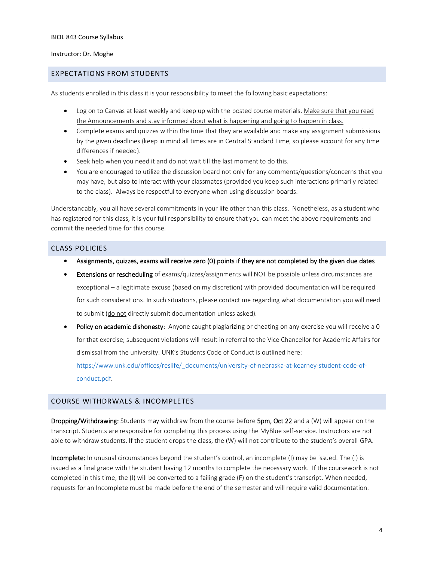#### Instructor: Dr. Moghe

## <span id="page-3-0"></span>EXPECTATIONS FROM STUDENTS

As students enrolled in this class it is your responsibility to meet the following basic expectations:

- Log on to Canvas at least weekly and keep up with the posted course materials. Make sure that you read the Announcements and stay informed about what is happening and going to happen in class.
- Complete exams and quizzes within the time that they are available and make any assignment submissions by the given deadlines (keep in mind all times are in Central Standard Time, so please account for any time differences if needed).
- Seek help when you need it and do not wait till the last moment to do this.
- You are encouraged to utilize the discussion board not only for any comments/questions/concerns that you may have, but also to interact with your classmates (provided you keep such interactions primarily related to the class). Always be respectful to everyone when using discussion boards.

Understandably, you all have several commitments in your life other than this class. Nonetheless, as a student who has registered for this class, it is your full responsibility to ensure that you can meet the above requirements and commit the needed time for this course.

## <span id="page-3-1"></span>CLASS POLICIES

- Assignments, quizzes, exams will receive zero (0) points if they are not completed by the given due dates
- **Extensions or rescheduling** of exams/quizzes/assignments will NOT be possible unless circumstances are exceptional – a legitimate excuse (based on my discretion) with provided documentation will be required for such considerations. In such situations, please contact me regarding what documentation you will need to submit (do not directly submit documentation unless asked).
- Policy on academic dishonesty: Anyone caught plagiarizing or cheating on any exercise you will receive a 0 for that exercise; subsequent violations will result in referral to the Vice Chancellor for Academic Affairs for dismissal from the university. UNK's Students Code of Conduct is outlined here:

[https://www.unk.edu/offices/reslife/\\_documents/university-of-nebraska-at-kearney-student-code-of](https://www.unk.edu/offices/reslife/_documents/university-of-nebraska-at-kearney-student-code-of-conduct.pdf)[conduct.pdf.](https://www.unk.edu/offices/reslife/_documents/university-of-nebraska-at-kearney-student-code-of-conduct.pdf)

## <span id="page-3-2"></span>COURSE WITHDRWALS & INCOMPLETES

<span id="page-3-3"></span>Dropping/Withdrawing: Students may withdraw from the course before 5pm, Oct 22 and a (W) will appear on the transcript. Students are responsible for completing this process using the MyBlue self-service. Instructors are not able to withdraw students. If the student drops the class, the (W) will not contribute to the student's overall GPA.

Incomplete: In unusual circumstances beyond the student's control, an incomplete (I) may be issued. The (I) is issued as a final grade with the student having 12 months to complete the necessary work. If the coursework is not completed in this time, the (I) will be converted to a failing grade (F) on the student's transcript. When needed, requests for an Incomplete must be made before the end of the semester and will require valid documentation.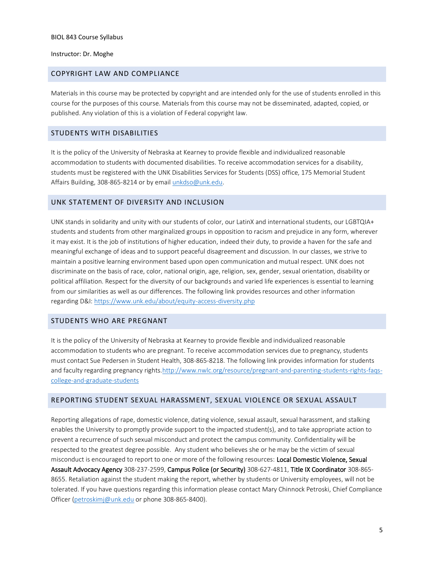#### Instructor: Dr. Moghe

#### COPYRIGHT LAW AND COMPLIANCE

Materials in this course may be protected by copyright and are intended only for the use of students enrolled in this course for the purposes of this course. Materials from this course may not be disseminated, adapted, copied, or published. Any violation of this is a violation of Federal copyright law.

## <span id="page-4-0"></span>STUDENTS WITH DISABILITIES

It is the policy of the University of Nebraska at Kearney to provide flexible and individualized reasonable accommodation to students with documented disabilities. To receive accommodation services for a disability, students must be registered with the UNK Disabilities Services for Students (DSS) office, 175 Memorial Student Affairs Building, 308-865-8214 or by email [unkdso@unk.edu.](mailto:unkdso@unk.edu)

### <span id="page-4-1"></span>UNK STATEMENT OF DIVERSITY AND INCLUSION

UNK stands in solidarity and unity with our students of color, our LatinX and international students, our LGBTQIA+ students and students from other marginalized groups in opposition to racism and prejudice in any form, wherever it may exist. It is the job of institutions of higher education, indeed their duty, to provide a haven for the safe and meaningful exchange of ideas and to support peaceful disagreement and discussion. In our classes, we strive to maintain a positive learning environment based upon open communication and mutual respect. UNK does not discriminate on the basis of race, color, national origin, age, religion, sex, gender, sexual orientation, disability or political affiliation. Respect for the diversity of our backgrounds and varied life experiences is essential to learning from our similarities as well as our differences. The following link provides resources and other information regarding D&I:<https://www.unk.edu/about/equity-access-diversity.php>

#### <span id="page-4-2"></span>STUDENTS WHO ARE PREGNANT

It is the policy of the University of Nebraska at Kearney to provide flexible and individualized reasonable accommodation to students who are pregnant. To receive accommodation services due to pregnancy, students must contact Sue Pedersen in Student Health, 308-865-8218. The following link provides information for students and faculty regarding pregnancy rights[.http://www.nwlc.org/resource/pregnant-and-parenting-students-rights-faqs](https://urldefense.proofpoint.com/v2/url?u=http-3A__www.nwlc.org_resource_pregnant-2Dand-2Dparenting-2Dstudents-2Drights-2Dfaqs-2Dcollege-2Dand-2Dgraduate-2Dstudents&d=DwMFAg&c=Cu5g146wZdoqVuKpTNsYHeFX_rg6kWhlkLF8Eft-wwo&r=BJkIhAaMtWY7PlqIhIOyVw&m=RgBL3s2VNHfvD5ReMK2q_PhwYU8dbEt1vxs1BO4WkpQ&s=MmB91XAzaW-E7UPMXPGx9tWJQbTWJYyYzM8gLjhEzQ0&e=)[college-and-graduate-students](https://urldefense.proofpoint.com/v2/url?u=http-3A__www.nwlc.org_resource_pregnant-2Dand-2Dparenting-2Dstudents-2Drights-2Dfaqs-2Dcollege-2Dand-2Dgraduate-2Dstudents&d=DwMFAg&c=Cu5g146wZdoqVuKpTNsYHeFX_rg6kWhlkLF8Eft-wwo&r=BJkIhAaMtWY7PlqIhIOyVw&m=RgBL3s2VNHfvD5ReMK2q_PhwYU8dbEt1vxs1BO4WkpQ&s=MmB91XAzaW-E7UPMXPGx9tWJQbTWJYyYzM8gLjhEzQ0&e=)

#### <span id="page-4-3"></span>REPORTING STUDENT SEXUAL HARASSMENT, SEXUAL VIOLENCE OR SEXUAL ASSAULT

Reporting allegations of rape, domestic violence, dating violence, sexual assault, sexual harassment, and stalking enables the University to promptly provide support to the impacted student(s), and to take appropriate action to prevent a recurrence of such sexual misconduct and protect the campus community. Confidentiality will be respected to the greatest degree possible. Any student who believes she or he may be the victim of sexual misconduct is encouraged to report to one or more of the following resources: Local Domestic Violence, Sexual Assault Advocacy Agency 308-237-2599, Campus Police (or Security) 308-627-4811, Title IX Coordinator 308-865- 8655. Retaliation against the student making the report, whether by students or University employees, will not be tolerated. If you have questions regarding this information please contact Mary Chinnock Petroski, Chief Compliance Officer [\(petroskimj@unk.edu](mailto:petroskimj@unk.edu) or phone 308-865-8400).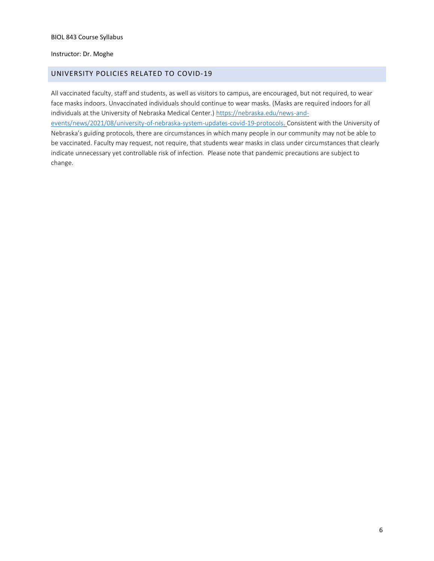#### Instructor: Dr. Moghe

## <span id="page-5-0"></span>UNIVERSITY POLICIES RELATED TO COVID-19

All vaccinated faculty, staff and students, as well as visitors to campus, are encouraged, but not required, to wear face masks indoors. Unvaccinated individuals should continue to wear masks. (Masks are required indoors for all individuals at the University of Nebraska Medical Center.) [https://nebraska.edu/news-and](https://nebraska.edu/news-and-events/news/2021/08/university-of-nebraska-system-updates-covid-19-protocols)[events/news/2021/08/university-of-nebraska-system-updates-covid-19-protocols.](https://nebraska.edu/news-and-events/news/2021/08/university-of-nebraska-system-updates-covid-19-protocols) Consistent with the University of Nebraska's guiding protocols, there are circumstances in which many people in our community may not be able to be vaccinated. Faculty may request, not require, that students wear masks in class under circumstances that clearly indicate unnecessary yet controllable risk of infection. Please note that pandemic precautions are subject to change.